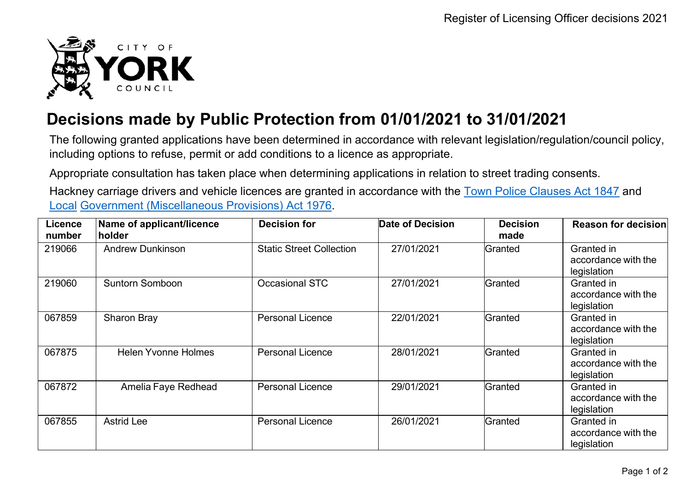

## **Decisions made by Public Protection from 01/01/2021 to 31/01/2021**

The following granted applications have been determined in accordance with relevant legislation/regulation/council policy, including options to refuse, permit or add conditions to a licence as appropriate.

Appropriate consultation has taken place when determining applications in relation to street trading consents.

Hackney carriage drivers and vehicle licences are granted in accordance with the Town Police [Clauses](http://www.legislation.gov.uk/ukpga/Vict/10-11/89) Act 1847 and [Local](http://www.legislation.gov.uk/ukpga/1976/57) [Government \(Miscellaneous Provisions\) Act 1976.](http://www.legislation.gov.uk/ukpga/1976/57)

| <b>Licence</b><br>number | Name of applicant/licence<br>holder | <b>Decision for</b>             | <b>Date of Decision</b> | <b>Decision</b><br>made | <b>Reason for decision</b>                       |
|--------------------------|-------------------------------------|---------------------------------|-------------------------|-------------------------|--------------------------------------------------|
| 219066                   | <b>Andrew Dunkinson</b>             | <b>Static Street Collection</b> | 27/01/2021              | Granted                 | Granted in<br>accordance with the<br>legislation |
| 219060                   | <b>Suntorn Somboon</b>              | <b>Occasional STC</b>           | 27/01/2021              | Granted                 | Granted in<br>accordance with the<br>legislation |
| 067859                   | <b>Sharon Bray</b>                  | <b>Personal Licence</b>         | 22/01/2021              | Granted                 | Granted in<br>accordance with the<br>legislation |
| 067875                   | <b>Helen Yvonne Holmes</b>          | <b>Personal Licence</b>         | 28/01/2021              | Granted                 | Granted in<br>accordance with the<br>legislation |
| 067872                   | Amelia Faye Redhead                 | <b>Personal Licence</b>         | 29/01/2021              | Granted                 | Granted in<br>accordance with the<br>legislation |
| 067855                   | <b>Astrid Lee</b>                   | <b>Personal Licence</b>         | 26/01/2021              | Granted                 | Granted in<br>accordance with the<br>legislation |